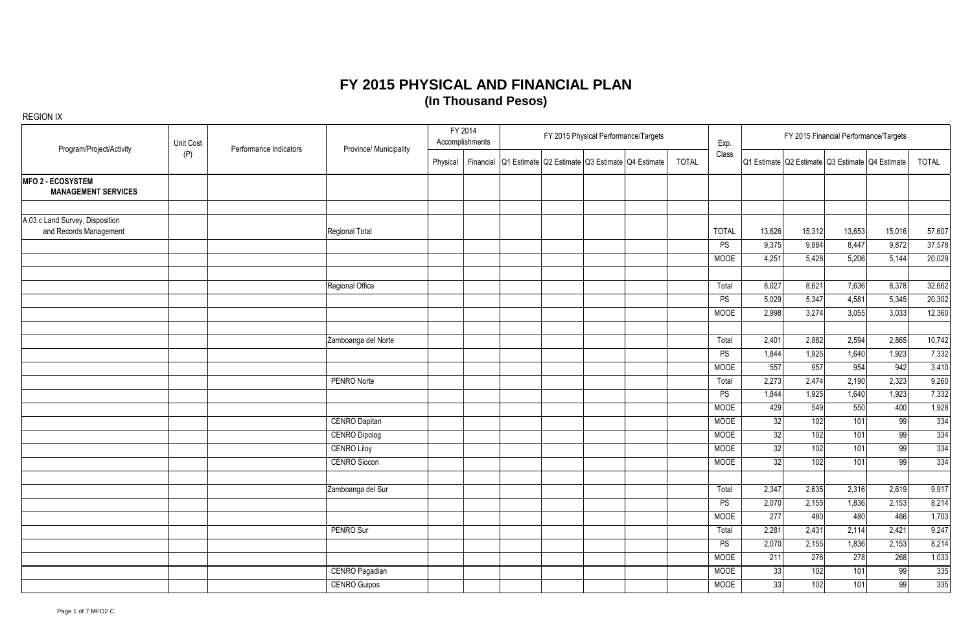|                                                           | Unit Cost |                        | Province/ Municipality |          | FY 2014<br>Accomplishments |  | FY 2015 Physical Performance/Targets            |              | Exp.         | FY 2015 Financial Performance/Targets |                                                 |        |        |              |  |
|-----------------------------------------------------------|-----------|------------------------|------------------------|----------|----------------------------|--|-------------------------------------------------|--------------|--------------|---------------------------------------|-------------------------------------------------|--------|--------|--------------|--|
| Program/Project/Activity                                  | (P)       | Performance Indicators |                        | Physical | Financial                  |  | Q1 Estimate Q2 Estimate Q3 Estimate Q4 Estimate | <b>TOTAL</b> | Class        |                                       | Q1 Estimate Q2 Estimate Q3 Estimate Q4 Estimate |        |        | <b>TOTAL</b> |  |
| <b>MFO 2 - ECOSYSTEM</b><br><b>MANAGEMENT SERVICES</b>    |           |                        |                        |          |                            |  |                                                 |              |              |                                       |                                                 |        |        |              |  |
| A.03.c Land Survey, Disposition<br>and Records Management |           |                        | Regional Total         |          |                            |  |                                                 |              | <b>TOTAL</b> | 13,626                                | 15,312                                          | 13,653 | 15,016 | 57,607       |  |
|                                                           |           |                        |                        |          |                            |  |                                                 |              | PS           | 9,375                                 | 9,884                                           | 8,447  | 9,872  | 37,578       |  |
|                                                           |           |                        |                        |          |                            |  |                                                 | <b>MOOE</b>  | 4,251        | 5,428                                 | 5,206                                           | 5,144  | 20,029 |              |  |
|                                                           |           |                        | Regional Office        |          |                            |  |                                                 |              | Total        | 8,027                                 | 8,621                                           | 7,636  | 8,378  | 32,662       |  |
|                                                           |           |                        |                        |          |                            |  |                                                 |              | PS           | 5,029                                 | 5,347                                           | 4,581  | 5,345  | 20,302       |  |
|                                                           |           |                        |                        |          |                            |  |                                                 |              | <b>MOOE</b>  | 2,998                                 | 3,274                                           | 3,055  | 3,033  | 12,360       |  |
|                                                           |           |                        | Zamboanga del Norte    |          |                            |  |                                                 |              | Total        | 2,401                                 | 2,882                                           | 2,594  | 2,865  | 10,742       |  |
|                                                           |           |                        |                        |          |                            |  |                                                 |              | PS           | 1,844                                 | 1,925                                           | 1,640  | 1,923  | 7,332        |  |
|                                                           |           |                        |                        |          |                            |  |                                                 |              | <b>MOOE</b>  | 557                                   | 957                                             | 954    | 942    | 3,410        |  |
|                                                           |           |                        | PENRO Norte            |          |                            |  |                                                 |              | Total        | 2,273                                 | 2,474                                           | 2,190  | 2,323  | 9,260        |  |
|                                                           |           |                        |                        |          |                            |  |                                                 |              | PS           | 1,844                                 | 1,925                                           | 1,640  | 1,923  | 7,332        |  |
|                                                           |           |                        |                        |          |                            |  |                                                 |              | <b>MOOE</b>  | 429                                   | 549                                             | 550    | 400    | 1,928        |  |
|                                                           |           |                        | <b>CENRO Dapitan</b>   |          |                            |  |                                                 |              | <b>MOOE</b>  | 32                                    | 102                                             | 101    | 99     | 334          |  |
|                                                           |           |                        | <b>CENRO Dipolog</b>   |          |                            |  |                                                 |              | <b>MOOE</b>  | 32                                    | 102                                             | 101    | 99     | 334          |  |
|                                                           |           |                        | <b>CENRO Liloy</b>     |          |                            |  |                                                 |              | <b>MOOE</b>  | 32                                    | 102                                             | 101    | 99     | 334          |  |
|                                                           |           |                        | <b>CENRO Siocon</b>    |          |                            |  |                                                 |              | <b>MOOE</b>  | 32                                    | 102                                             | 101    | 99     | 334          |  |
|                                                           |           |                        | Zamboanga del Sur      |          |                            |  |                                                 |              | Total        | 2,347                                 | 2,635                                           | 2,316  | 2,619  | 9,917        |  |
|                                                           |           |                        |                        |          |                            |  |                                                 |              | PS           | 2,070                                 | 2,155                                           | 1,836  | 2,153  | 8,214        |  |
|                                                           |           |                        |                        |          |                            |  |                                                 |              | <b>MOOE</b>  | 277                                   | 480                                             | 480    | 466    | 1,703        |  |
|                                                           |           |                        | PENRO Sur              |          |                            |  |                                                 |              | Total        | 2,281                                 | 2,431                                           | 2,114  | 2,421  | 9,247        |  |
|                                                           |           |                        |                        |          |                            |  |                                                 |              | <b>PS</b>    | 2,070                                 | 2,155                                           | 1,836  | 2,153  | 8,214        |  |
|                                                           |           |                        |                        |          |                            |  |                                                 |              | <b>MOOE</b>  | 211                                   | 276                                             | 278    | 268    | 1,033        |  |
|                                                           |           |                        | <b>CENRO Pagadian</b>  |          |                            |  |                                                 |              | <b>MOOE</b>  | $\overline{33}$                       | 102                                             | 101    | 99     | 335          |  |
|                                                           |           |                        | <b>CENRO Guipos</b>    |          |                            |  |                                                 |              | <b>MOOE</b>  | 33                                    | 102                                             | 101    | 99     | 335          |  |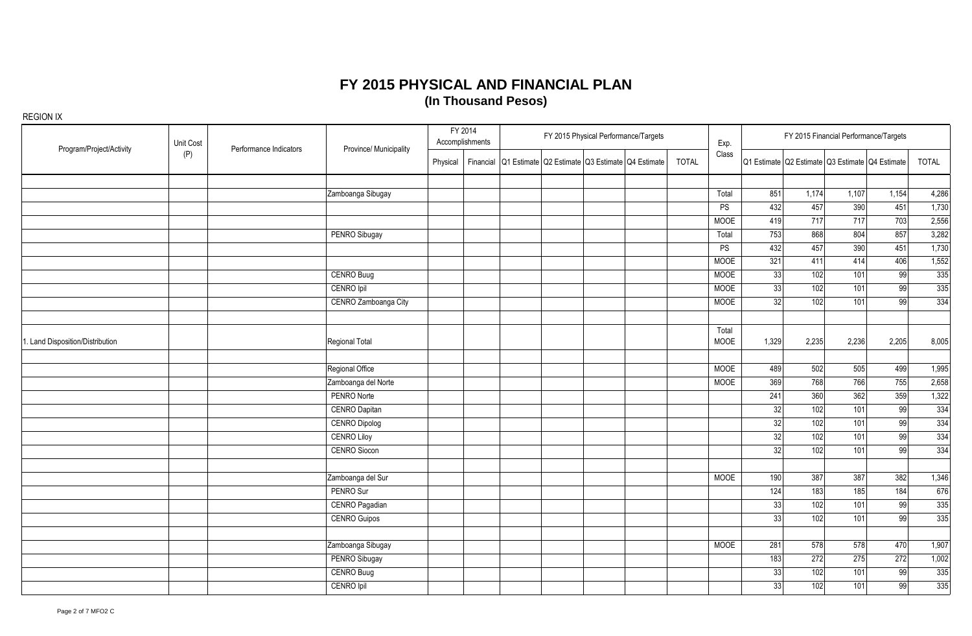| Program/Project/Activity         | Unit Cost | Performance Indicators | Province/ Municipality | FY 2014<br>Accomplishments | FY 2015 Physical Performance/Targets |                                                           |              |                      | FY 2015 Financial Performance/Targets |       |                                                 |       |       |  |
|----------------------------------|-----------|------------------------|------------------------|----------------------------|--------------------------------------|-----------------------------------------------------------|--------------|----------------------|---------------------------------------|-------|-------------------------------------------------|-------|-------|--|
|                                  | (P)       |                        |                        | Physical                   |                                      | Financial Q1 Estimate Q2 Estimate Q3 Estimate Q4 Estimate | <b>TOTAL</b> | Class                |                                       |       | Q1 Estimate Q2 Estimate Q3 Estimate Q4 Estimate |       | TOTAL |  |
|                                  |           |                        |                        |                            |                                      |                                                           |              |                      |                                       |       |                                                 |       |       |  |
|                                  |           |                        | Zamboanga Sibugay      |                            |                                      |                                                           |              | Total                | 851                                   | 1,174 | 1,107                                           | 1,154 | 4,286 |  |
|                                  |           |                        |                        |                            |                                      |                                                           |              | PS                   | 432                                   | 457   | 390                                             | 451   | 1,730 |  |
|                                  |           |                        |                        |                            |                                      |                                                           |              | <b>MOOE</b>          | 419                                   | 717   | 717                                             | 703   | 2,556 |  |
|                                  |           |                        | PENRO Sibugay          |                            |                                      |                                                           |              | Total                | 753                                   | 868   | 804                                             | 857   | 3,282 |  |
|                                  |           |                        |                        |                            |                                      |                                                           |              | PS                   | 432                                   | 457   | 390                                             | 451   | 1,730 |  |
|                                  |           |                        |                        |                            |                                      |                                                           |              | <b>MOOE</b>          | 321                                   | 411   | 414                                             | 406   | 1,552 |  |
|                                  |           |                        | CENRO Buug             |                            |                                      |                                                           |              | <b>MOOE</b>          | 33                                    | 102   | 101                                             | 99    | 335   |  |
|                                  |           |                        | <b>CENRO</b> Ipil      |                            |                                      |                                                           |              | <b>MOOE</b>          | 33                                    | 102   | 101                                             | 99    | 335   |  |
|                                  |           |                        | CENRO Zamboanga City   |                            |                                      |                                                           |              | <b>MOOE</b>          | 32                                    | 102   | 101                                             | 99    | 334   |  |
| 1. Land Disposition/Distribution |           |                        | Regional Total         |                            |                                      |                                                           |              | Total<br><b>MOOE</b> | 1,329                                 | 2,235 | 2,236                                           | 2,205 | 8,005 |  |
|                                  |           |                        | Regional Office        |                            |                                      |                                                           |              | <b>MOOE</b>          | 489                                   | 502   | 505                                             | 499   | 1,995 |  |
|                                  |           |                        | Zamboanga del Norte    |                            |                                      |                                                           |              | <b>MOOE</b>          | 369                                   | 768   | 766                                             | 755   | 2,658 |  |
|                                  |           |                        | PENRO Norte            |                            |                                      |                                                           |              |                      | 241                                   | 360   | 362                                             | 359   | 1,322 |  |
|                                  |           |                        | <b>CENRO Dapitan</b>   |                            |                                      |                                                           |              |                      | 32                                    | 102   | 101                                             | 99    | 334   |  |
|                                  |           |                        | <b>CENRO Dipolog</b>   |                            |                                      |                                                           |              |                      | 32                                    | 102   | 101                                             | 99    | 334   |  |
|                                  |           |                        | <b>CENRO Liloy</b>     |                            |                                      |                                                           |              |                      | 32                                    | 102   | 101                                             | 99    | 334   |  |
|                                  |           |                        | <b>CENRO Siocon</b>    |                            |                                      |                                                           |              |                      | 32                                    | 102   | 101                                             | 99    | 334   |  |
|                                  |           |                        |                        |                            |                                      |                                                           |              |                      |                                       |       |                                                 |       |       |  |
|                                  |           |                        | Zamboanga del Sur      |                            |                                      |                                                           |              | <b>MOOE</b>          | 190                                   | 387   | 387                                             | 382   | 1,346 |  |
|                                  |           |                        | PENRO Sur              |                            |                                      |                                                           |              |                      | 124                                   | 183   | 185                                             | 184   | 676   |  |
|                                  |           |                        | CENRO Pagadian         |                            |                                      |                                                           |              |                      | 33                                    | 102   | 101                                             | 99    | 335   |  |
|                                  |           |                        | <b>CENRO Guipos</b>    |                            |                                      |                                                           |              |                      | 33                                    | 102   | 101                                             | 99    | 335   |  |
|                                  |           |                        | Zamboanga Sibugay      |                            |                                      |                                                           |              | <b>MOOE</b>          | 281                                   | 578   | 578                                             | 470   | 1,907 |  |
|                                  |           |                        | PENRO Sibugay          |                            |                                      |                                                           |              |                      | 183                                   | 272   | 275                                             | 272   | 1,002 |  |
|                                  |           |                        | <b>CENRO Buug</b>      |                            |                                      |                                                           |              |                      | 33                                    | 102   | 101                                             | 99    | 335   |  |
|                                  |           |                        | CENRO Ipil             |                            |                                      |                                                           |              |                      | 33                                    | 102   | 101                                             | 99    | 335   |  |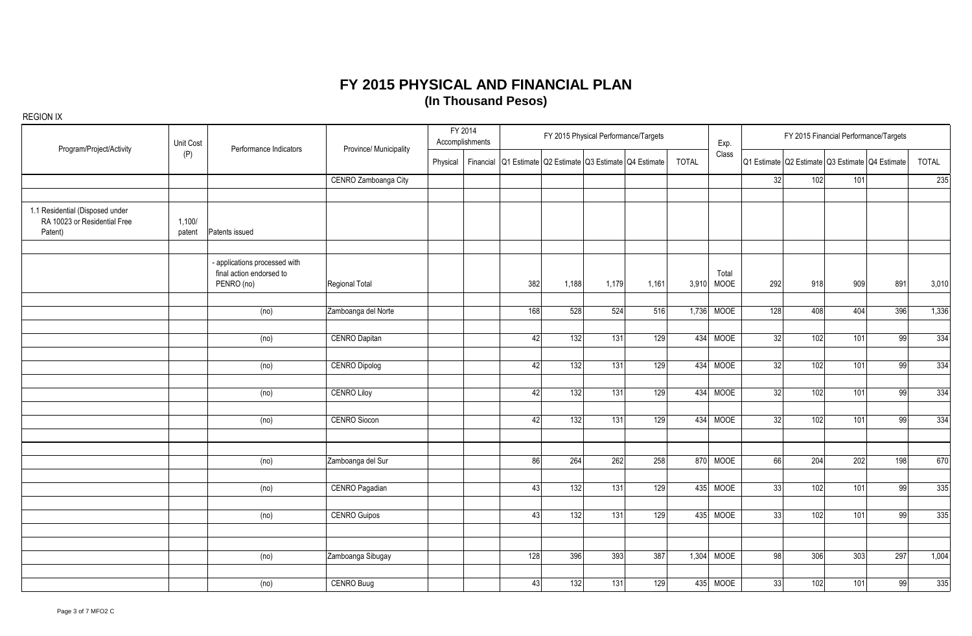| Program/Project/Activity                                                   | Unit Cost        | Performance Indicators                                                  | Province/ Municipality | FY 2014<br>Accomplishments |     |               |       | FY 2015 Physical Performance/Targets            |              | Exp.                 |     | FY 2015 Financial Performance/Targets           |     |     |              |  |  |  |
|----------------------------------------------------------------------------|------------------|-------------------------------------------------------------------------|------------------------|----------------------------|-----|---------------|-------|-------------------------------------------------|--------------|----------------------|-----|-------------------------------------------------|-----|-----|--------------|--|--|--|
|                                                                            | (P)              |                                                                         |                        | Physical Financial         |     |               |       | Q1 Estimate Q2 Estimate Q3 Estimate Q4 Estimate | <b>TOTAL</b> | Class                |     | Q1 Estimate Q2 Estimate Q3 Estimate Q4 Estimate |     |     | <b>TOTAL</b> |  |  |  |
|                                                                            |                  |                                                                         | CENRO Zamboanga City   |                            |     |               |       |                                                 |              |                      | 32  | 102                                             | 101 |     | 235          |  |  |  |
| 1.1 Residential (Disposed under<br>RA 10023 or Residential Free<br>Patent) | 1,100/<br>patent | Patents issued                                                          |                        |                            |     |               |       |                                                 |              |                      |     |                                                 |     |     |              |  |  |  |
|                                                                            |                  | - applications processed with<br>final action endorsed to<br>PENRO (no) | Regional Total         |                            | 382 | 1,188         | 1,179 | 1,161                                           | 3,910        | Total<br><b>MOOE</b> | 292 | 918                                             | 909 | 891 | 3,010        |  |  |  |
|                                                                            |                  | (no)                                                                    | Zamboanga del Norte    |                            | 168 | 528           | 524   | 516                                             |              | 1,736 MOOE           | 128 | 408                                             | 404 | 396 | 1,336        |  |  |  |
|                                                                            |                  | (no)                                                                    | CENRO Dapitan          |                            | 42  | 132           | 131   | 129                                             | 434          | <b>MOOE</b>          | 32  | 102                                             | 101 | 99  | 334          |  |  |  |
|                                                                            |                  | (no)                                                                    | <b>CENRO Dipolog</b>   |                            | 42  | $\boxed{132}$ | 131   | 129                                             | 434          | <b>MOOE</b>          | 32  | 102                                             | 101 | 99  | 334          |  |  |  |
|                                                                            |                  | (no)                                                                    | <b>CENRO Liloy</b>     |                            | 42  | 132           | 131   | 129                                             | 434          | <b>MOOE</b>          | 32  | 102                                             | 101 | 99  | 334          |  |  |  |
|                                                                            |                  | (no)                                                                    | <b>CENRO Siocon</b>    |                            | 42  | 132           | 131   | 129                                             | 434          | <b>MOOE</b>          | 32  | 102                                             | 101 | 99  | 334          |  |  |  |
|                                                                            |                  |                                                                         |                        |                            |     |               |       |                                                 |              |                      |     |                                                 |     |     |              |  |  |  |
|                                                                            |                  | (no)                                                                    | Zamboanga del Sur      |                            | 86  | 264           | 262   | 258                                             |              | 870 MOOE             | 66  | 204                                             | 202 | 198 | 670          |  |  |  |
|                                                                            |                  | (no)                                                                    | <b>CENRO Pagadian</b>  |                            | 43  | $\boxed{132}$ | 131   | 129                                             |              | 435 MOOE             | 33  | 102                                             | 101 | 99  | 335          |  |  |  |
|                                                                            |                  | (no)                                                                    | <b>CENRO Guipos</b>    |                            | 43  | 132           | 131   | 129                                             | 435          | <b>MOOE</b>          | 33  | 102                                             | 101 | 99  | 335          |  |  |  |
|                                                                            |                  |                                                                         |                        |                            | 128 | 396           | 393   | 387                                             |              | 1,304 MOOE           | 98  | 306                                             | 303 | 297 | 1,004        |  |  |  |
|                                                                            |                  | (no)                                                                    | Zamboanga Sibugay      |                            |     |               |       |                                                 |              |                      |     |                                                 |     |     |              |  |  |  |
|                                                                            |                  | (no)                                                                    | <b>CENRO Buug</b>      |                            | 43  | 132           | 131   | 129                                             | 435          | <b>MOOE</b>          | 33  | 102                                             | 101 | 99  | 335          |  |  |  |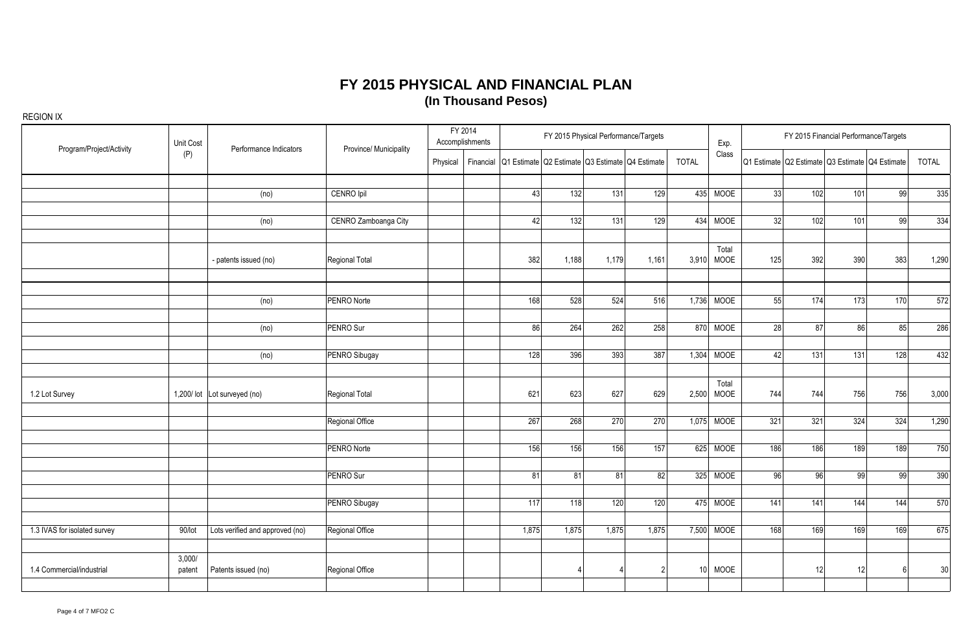| Program/Project/Activity     | Unit Cost        | Performance Indicators          | Province/ Municipality | FY 2014<br>Accomplishments |                  |       | FY 2015 Physical Performance/Targets                      |       | Exp.                 | FY 2015 Financial Performance/Targets |     |                                                 |     |              |  |
|------------------------------|------------------|---------------------------------|------------------------|----------------------------|------------------|-------|-----------------------------------------------------------|-------|----------------------|---------------------------------------|-----|-------------------------------------------------|-----|--------------|--|
|                              | (P)              |                                 |                        | Physical                   |                  |       | Financial Q1 Estimate Q2 Estimate Q3 Estimate Q4 Estimate | TOTAL | Class                |                                       |     | Q1 Estimate Q2 Estimate Q3 Estimate Q4 Estimate |     | <b>TOTAL</b> |  |
|                              |                  | (no)                            | CENRO Ipil             |                            | 43               | 132   | 131<br>129                                                |       | 435 MOOE             | 33                                    | 102 | 101                                             | 99  | 335          |  |
|                              |                  |                                 |                        |                            |                  |       |                                                           |       |                      |                                       |     |                                                 |     |              |  |
|                              |                  | (no)                            | CENRO Zamboanga City   |                            | 42               | 132   | 131<br>129                                                |       | 434 MOOE             | 32                                    | 102 | 101                                             | 99  | 334          |  |
|                              |                  | - patents issued (no)           | Regional Total         |                            | 382              | 1,188 | 1,179<br>1,161                                            | 3,910 | Total<br>MOOE        | 125                                   | 392 | 390                                             | 383 | 1,290        |  |
|                              |                  |                                 |                        |                            |                  |       |                                                           |       |                      |                                       |     |                                                 |     |              |  |
|                              |                  | (no)                            | PENRO Norte            |                            | 168              | 528   | 524<br>516                                                |       | 1,736 MOOE           | 55                                    | 174 | 173                                             | 170 | 572          |  |
|                              |                  | (no)                            | PENRO Sur              |                            | 86               | 264   | 262<br>258                                                | 870   | <b>MOOE</b>          | 28                                    | 87  | 86l                                             | 85  | 286          |  |
|                              |                  | (no)                            | PENRO Sibugay          |                            | 128              | 396   | 393<br>387                                                |       | 1,304 MOOE           | 42                                    | 131 | 131                                             | 128 | 432          |  |
| 1.2 Lot Survey               |                  | 1,200/lot Lot surveyed (no)     | Regional Total         |                            | 621              | 623   | 627<br>629                                                | 2,500 | Total<br><b>MOOE</b> | 744                                   | 744 | 756                                             | 756 | 3,000        |  |
|                              |                  |                                 | Regional Office        |                            | $\overline{267}$ | 268   | 270<br>270                                                | 1,075 | <b>MOOE</b>          | 321                                   | 321 | 324                                             | 324 | 1,290        |  |
|                              |                  |                                 | PENRO Norte            |                            | 156              | 156   | 156<br>157                                                |       | 625 MOOE             | 186                                   | 186 | 189                                             | 189 | 750          |  |
|                              |                  |                                 | PENRO Sur              |                            | 81               | 81    | 81                                                        | 82    | 325 MOOE             | 96                                    | 96  | 99                                              | 99  | 390          |  |
|                              |                  |                                 | PENRO Sibugay          |                            | 117              | 118   | 120<br>120                                                |       | 475 MOOE             | 141                                   | 141 | 144                                             | 144 | 570          |  |
| 1.3 IVAS for isolated survey | 90/lot           | Lots verified and approved (no) | Regional Office        |                            | 1,875            | 1,875 | 1,875<br>1,875                                            | 7,500 | <b>MOOE</b>          | 168                                   | 169 | 169                                             | 169 | 675          |  |
|                              |                  |                                 |                        |                            |                  |       |                                                           |       |                      |                                       |     |                                                 |     |              |  |
| 1.4 Commercial/industrial    | 3,000/<br>patent | Patents issued (no)             | Regional Office        |                            |                  |       |                                                           | 10    | <b>MOOE</b>          |                                       | 12  | 12                                              |     | 30           |  |
|                              |                  |                                 |                        |                            |                  |       |                                                           |       |                      |                                       |     |                                                 |     |              |  |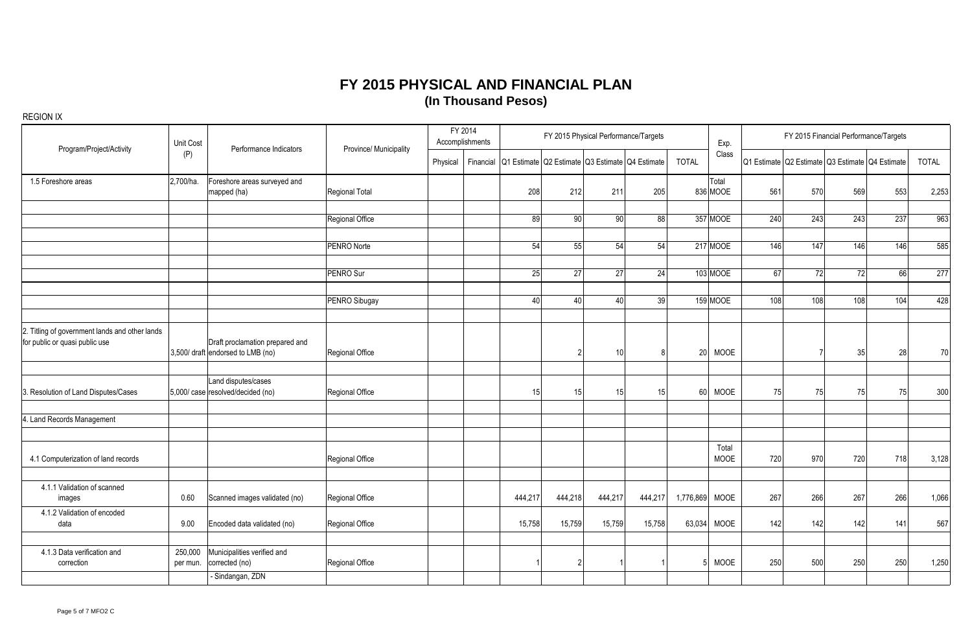| Program/Project/Activity                                                         | Unit Cost           | Performance Indicators                                               | Province/ Municipality |          | FY 2014<br>Accomplishments |         |                                                 |                 | FY 2015 Physical Performance/Targets |                | Exp.              |     | FY 2015 Financial Performance/Targets           |     |              |
|----------------------------------------------------------------------------------|---------------------|----------------------------------------------------------------------|------------------------|----------|----------------------------|---------|-------------------------------------------------|-----------------|--------------------------------------|----------------|-------------------|-----|-------------------------------------------------|-----|--------------|
|                                                                                  | (P)                 |                                                                      |                        | Physical | Financial                  |         | Q1 Estimate Q2 Estimate Q3 Estimate Q4 Estimate |                 |                                      | <b>TOTAL</b>   | Class             |     | Q1 Estimate Q2 Estimate Q3 Estimate Q4 Estimate |     | <b>TOTAL</b> |
| 1.5 Foreshore areas                                                              | 2,700/ha.           | Foreshore areas surveyed and<br>mapped (ha)                          | <b>Regional Total</b>  |          |                            | 208     | 212                                             | 211             | 205                                  |                | Total<br>836 MOOE | 561 | 570                                             | 569 | 553<br>2,253 |
|                                                                                  |                     |                                                                      | Regional Office        |          |                            | 89      | 90                                              | 90 <sup>°</sup> | 88                                   |                | 357 MOOE          | 240 | 243                                             | 243 | 237<br>963   |
|                                                                                  |                     |                                                                      | PENRO Norte            |          |                            | 54      | 55                                              | 54              | 54                                   |                | 217 MOOE          | 146 | 147                                             | 146 | 146<br>585   |
|                                                                                  |                     |                                                                      | PENRO Sur              |          |                            | 25      | 27                                              | 27              | 24                                   |                | 103 MOOE          | 67  | 72                                              | 72  | 66<br>277    |
|                                                                                  |                     |                                                                      | PENRO Sibugay          |          |                            | 40      | 40                                              | 40              | 39                                   |                | 159 MOOE          | 108 | 108                                             | 108 | 428<br>104   |
| 2. Titling of government lands and other lands<br>for public or quasi public use |                     | Draft proclamation prepared and<br>3,500/ draft endorsed to LMB (no) | Regional Office        |          |                            |         |                                                 | 10              |                                      | 20             | MOOE              |     |                                                 | 35  | 28<br>70     |
| 3. Resolution of Land Disputes/Cases                                             |                     | Land disputes/cases<br>5,000/ case resolved/decided (no)             | Regional Office        |          |                            | 15      | 15                                              | 15              | 15                                   | 60l            | <b>MOOE</b>       | 75  | 75                                              | 75  | 75<br>300    |
| 4. Land Records Management                                                       |                     |                                                                      |                        |          |                            |         |                                                 |                 |                                      |                |                   |     |                                                 |     |              |
| 4.1 Computerization of land records                                              |                     |                                                                      | Regional Office        |          |                            |         |                                                 |                 |                                      |                | Total<br>MOOE     | 720 | 970                                             | 720 | 718<br>3,128 |
| 4.1.1 Validation of scanned<br>images                                            | 0.60                | Scanned images validated (no)                                        | Regional Office        |          |                            | 444,217 | 444,218                                         | 444,217         | 444,217                              | 1,776,869 MOOE |                   | 267 | <b>266</b>                                      | 267 | 266<br>1,066 |
| 4.1.2 Validation of encoded<br>data                                              | 9.00                | Encoded data validated (no)                                          | Regional Office        |          |                            | 15,758  | 15,759                                          | 15,759          | 15,758                               |                | 63,034 MOOE       | 142 | 142                                             | 142 | 141<br>567   |
| 4.1.3 Data verification and<br>correction                                        | 250,000<br>per mun. | Municipalities verified and<br>corrected (no)<br>Sindangan, ZDN      | Regional Office        |          |                            |         | $\overline{2}$                                  |                 |                                      |                | <b>MOOE</b>       | 250 | 500                                             | 250 | 250<br>1,250 |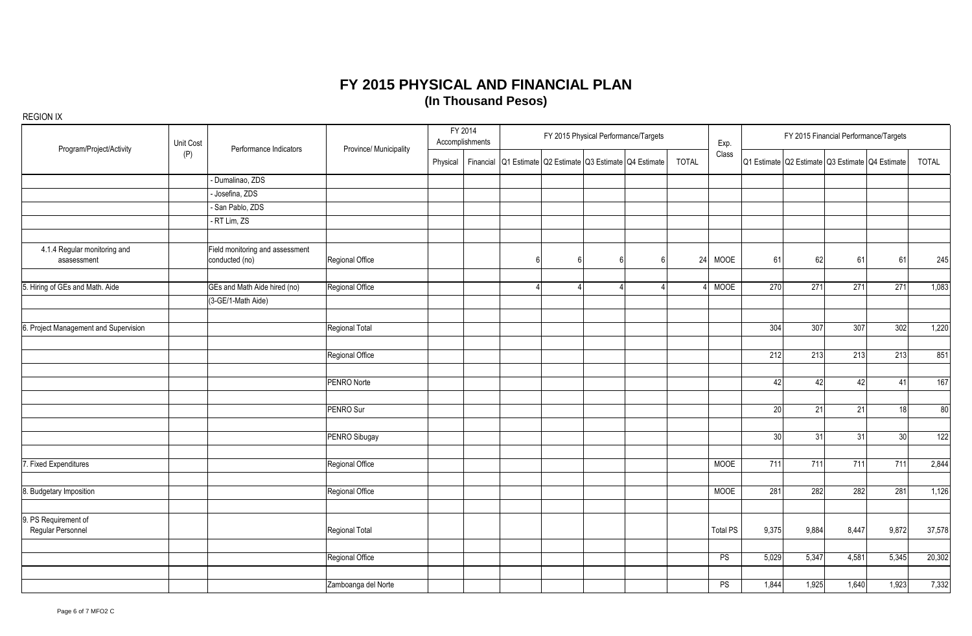| Program/Project/Activity                    | Unit Cost | Performance Indicators                            | Province/ Municipality |          | FY 2014<br>FY 2015 Physical Performance/Targets<br>Accomplishments |   |  |   |                                                 | Exp.         | FY 2015 Financial Performance/Targets |                 |       |       |                                                 |        |
|---------------------------------------------|-----------|---------------------------------------------------|------------------------|----------|--------------------------------------------------------------------|---|--|---|-------------------------------------------------|--------------|---------------------------------------|-----------------|-------|-------|-------------------------------------------------|--------|
|                                             | (P)       |                                                   |                        | Physical | Financial                                                          |   |  |   | Q1 Estimate Q2 Estimate Q3 Estimate Q4 Estimate | <b>TOTAL</b> | Class                                 |                 |       |       | Q1 Estimate Q2 Estimate Q3 Estimate Q4 Estimate | TOTAL  |
|                                             |           | - Dumalinao, ZDS                                  |                        |          |                                                                    |   |  |   |                                                 |              |                                       |                 |       |       |                                                 |        |
|                                             |           | Josefina, ZDS                                     |                        |          |                                                                    |   |  |   |                                                 |              |                                       |                 |       |       |                                                 |        |
|                                             |           | - San Pablo, ZDS                                  |                        |          |                                                                    |   |  |   |                                                 |              |                                       |                 |       |       |                                                 |        |
|                                             |           | - RT Lim, ZS                                      |                        |          |                                                                    |   |  |   |                                                 |              |                                       |                 |       |       |                                                 |        |
| 4.1.4 Regular monitoring and<br>asasessment |           | Field monitoring and assessment<br>conducted (no) | Regional Office        |          |                                                                    | 6 |  | հ |                                                 | 24           | MOOE                                  | 61              | 62    | 61    | 61                                              | 245    |
| 5. Hiring of GEs and Math. Aide             |           | GEs and Math Aide hired (no)                      | Regional Office        |          |                                                                    | 4 |  | Δ |                                                 |              | MOOE                                  | 270             | 271   | 271   | 271                                             | 1,083  |
|                                             |           | (3-GE/1-Math Aide)                                |                        |          |                                                                    |   |  |   |                                                 |              |                                       |                 |       |       |                                                 |        |
| 6. Project Management and Supervision       |           |                                                   | Regional Total         |          |                                                                    |   |  |   |                                                 |              |                                       | 304             | 307   | 307   | 302                                             | 1,220  |
|                                             |           |                                                   | Regional Office        |          |                                                                    |   |  |   |                                                 |              |                                       | 212             | 213   | 213   | 213                                             | 851    |
|                                             |           |                                                   | PENRO Norte            |          |                                                                    |   |  |   |                                                 |              |                                       | 42              | 42    | 42    | 41                                              | 167    |
|                                             |           |                                                   | PENRO Sur              |          |                                                                    |   |  |   |                                                 |              |                                       | $\overline{20}$ | 21    | 21    | 18                                              | 80     |
|                                             |           |                                                   | PENRO Sibugay          |          |                                                                    |   |  |   |                                                 |              |                                       | 30              | 31    | 31    | 30                                              | 122    |
| 7. Fixed Expenditures                       |           |                                                   | Regional Office        |          |                                                                    |   |  |   |                                                 |              | <b>MOOE</b>                           | 711             | 711   | 711   | 711                                             | 2,844  |
| 8. Budgetary Imposition                     |           |                                                   | Regional Office        |          |                                                                    |   |  |   |                                                 |              | <b>MOOE</b>                           | 281             | 282   | 282   | 281                                             | 1,126  |
| 9. PS Requirement of                        |           |                                                   |                        |          |                                                                    |   |  |   |                                                 |              |                                       |                 |       |       |                                                 |        |
| Regular Personnel                           |           |                                                   | Regional Total         |          |                                                                    |   |  |   |                                                 |              | <b>Total PS</b>                       | 9,375           | 9,884 | 8,447 | 9,872                                           | 37,578 |
|                                             |           |                                                   | Regional Office        |          |                                                                    |   |  |   |                                                 |              | PS                                    | 5,029           | 5,347 | 4,581 | 5,345                                           | 20,302 |
|                                             |           |                                                   | Zamboanga del Norte    |          |                                                                    |   |  |   |                                                 |              | PS                                    | 1,844           | 1,925 | 1,640 | 1,923                                           | 7,332  |